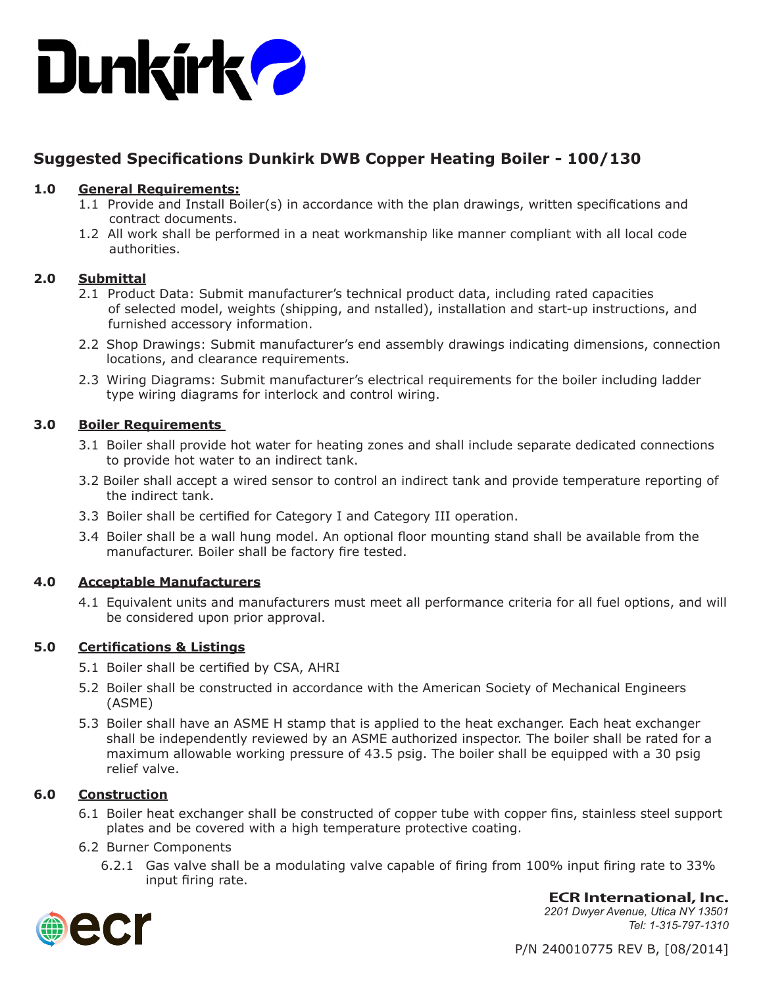

# **Suggested Specifications Dunkirk DWB Copper Heating Boiler - 100/130**

## **1.0 General Requirements:**

- 1.1 Provide and Install Boiler(s) in accordance with the plan drawings, written specifications and contract documents.
- 1.2 All work shall be performed in a neat workmanship like manner compliant with all local code authorities.

#### **2.0 Submittal**

- 2.1 Product Data: Submit manufacturer's technical product data, including rated capacities of selected model, weights (shipping, and nstalled), installation and start-up instructions, and furnished accessory information.
- 2.2 Shop Drawings: Submit manufacturer's end assembly drawings indicating dimensions, connection locations, and clearance requirements.
- 2.3 Wiring Diagrams: Submit manufacturer's electrical requirements for the boiler including ladder type wiring diagrams for interlock and control wiring.

## **3.0 Boiler Requirements**

- 3.1 Boiler shall provide hot water for heating zones and shall include separate dedicated connections to provide hot water to an indirect tank.
- 3.2 Boiler shall accept a wired sensor to control an indirect tank and provide temperature reporting of the indirect tank.
- 3.3 Boiler shall be certified for Category I and Category III operation.
- 3.4 Boiler shall be a wall hung model. An optional floor mounting stand shall be available from the manufacturer. Boiler shall be factory fire tested.

#### **4.0 Acceptable Manufacturers**

4.1 Equivalent units and manufacturers must meet all performance criteria for all fuel options, and will be considered upon prior approval.

# **5.0 Certifications & Listings**

- 5.1 Boiler shall be certified by CSA, AHRI
- 5.2 Boiler shall be constructed in accordance with the American Society of Mechanical Engineers (ASME)
- 5.3 Boiler shall have an ASME H stamp that is applied to the heat exchanger. Each heat exchanger shall be independently reviewed by an ASME authorized inspector. The boiler shall be rated for a maximum allowable working pressure of 43.5 psig. The boiler shall be equipped with a 30 psig relief valve.

# **6.0 Construction**

- 6.1 Boiler heat exchanger shall be constructed of copper tube with copper fins, stainless steel support plates and be covered with a high temperature protective coating.
- 6.2 Burner Components
	- 6.2.1 Gas valve shall be a modulating valve capable of firing from 100% input firing rate to 33% input firing rate.





*2201 Dwyer Avenue, Utica NY 13501 Tel: 1-315-797-1310*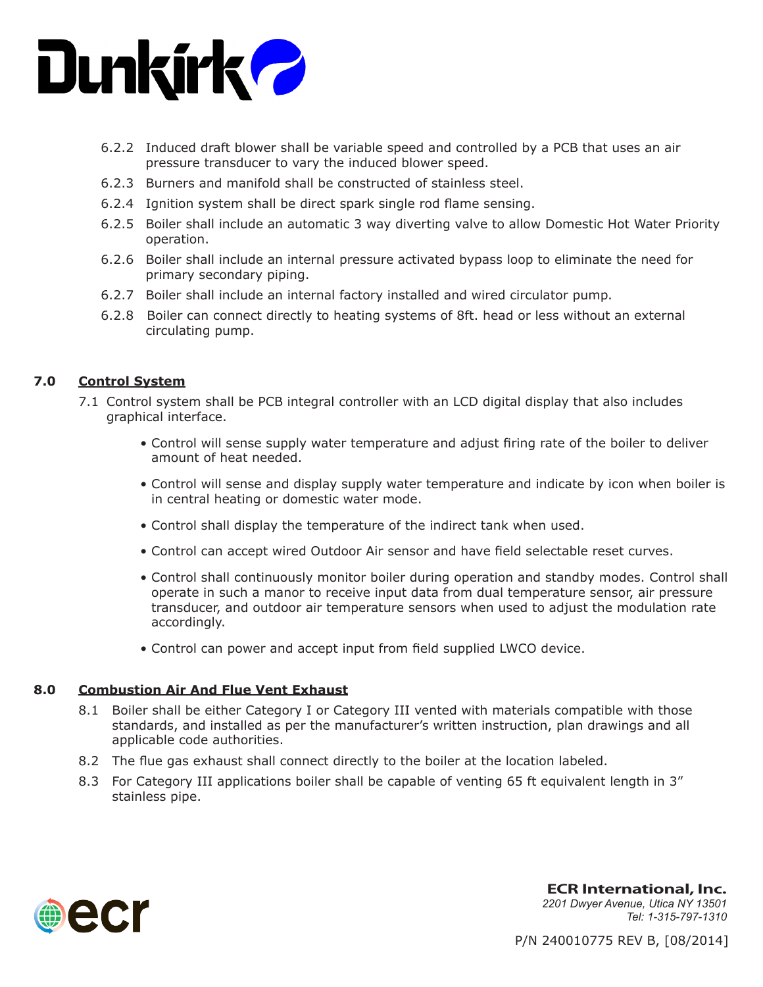

- 6.2.2 Induced draft blower shall be variable speed and controlled by a PCB that uses an air pressure transducer to vary the induced blower speed.
- 6.2.3 Burners and manifold shall be constructed of stainless steel.
- 6.2.4 Ignition system shall be direct spark single rod flame sensing.
- 6.2.5 Boiler shall include an automatic 3 way diverting valve to allow Domestic Hot Water Priority operation.
- 6.2.6 Boiler shall include an internal pressure activated bypass loop to eliminate the need for primary secondary piping.
- 6.2.7 Boiler shall include an internal factory installed and wired circulator pump.
- 6.2.8 Boiler can connect directly to heating systems of 8ft. head or less without an external circulating pump.

#### **7.0 Control System**

- 7.1 Control system shall be PCB integral controller with an LCD digital display that also includes graphical interface.
	- Control will sense supply water temperature and adjust firing rate of the boiler to deliver amount of heat needed.
	- Control will sense and display supply water temperature and indicate by icon when boiler is in central heating or domestic water mode.
	- Control shall display the temperature of the indirect tank when used.
	- Control can accept wired Outdoor Air sensor and have field selectable reset curves.
	- Control shall continuously monitor boiler during operation and standby modes. Control shall operate in such a manor to receive input data from dual temperature sensor, air pressure transducer, and outdoor air temperature sensors when used to adjust the modulation rate accordingly.
	- Control can power and accept input from field supplied LWCO device.

#### **8.0 Combustion Air And Flue Vent Exhaust**

- 8.1 Boiler shall be either Category I or Category III vented with materials compatible with those standards, and installed as per the manufacturer's written instruction, plan drawings and all applicable code authorities.
- 8.2 The flue gas exhaust shall connect directly to the boiler at the location labeled.
- 8.3 For Category III applications boiler shall be capable of venting 65 ft equivalent length in 3" stainless pipe.



**ECR International, Inc.** *2201 Dwyer Avenue, Utica NY 13501 Tel: 1-315-797-1310*

P/N 240010775 REV B, [08/2014]